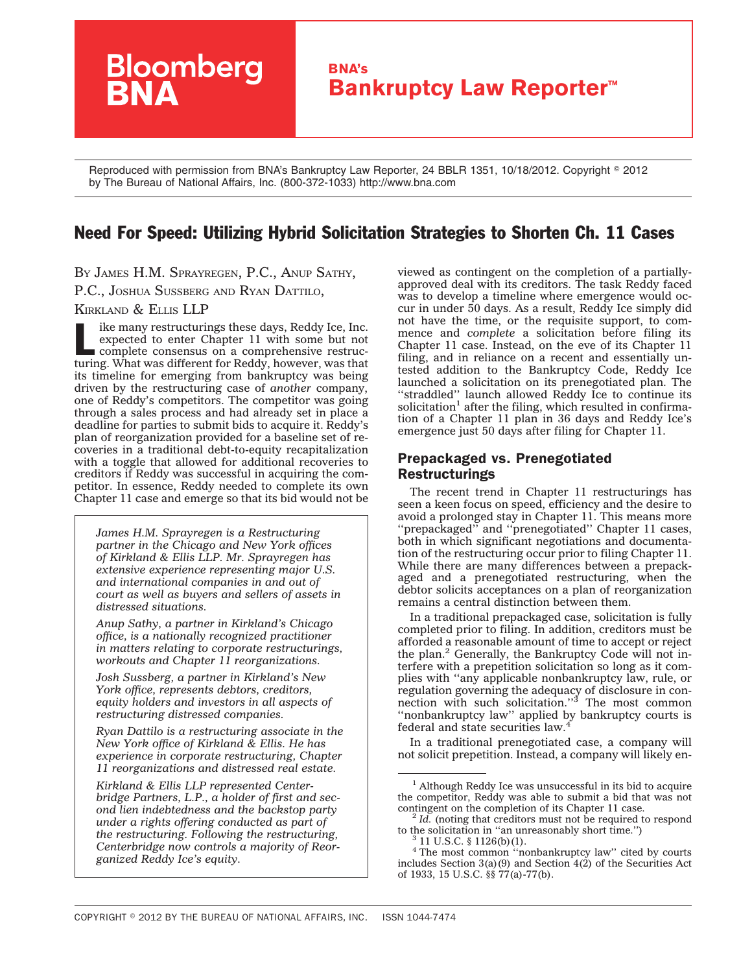# **Bloomberg BNA's Bankruptcy Law Reporter™**

Reproduced with permission from BNA's Bankruptcy Law Reporter, 24 BBLR 1351, 10/18/2012. Copyright © 2012 by The Bureau of National Affairs, Inc. (800-372-1033) http://www.bna.com

## Need For Speed: Utilizing Hybrid Solicitation Strategies to Shorten Ch. 11 Cases

BY JAMES H.M. SPRAYREGEN, P.C., ANUP SATHY,

P.C., JOSHUA SUSSBERG AND RYAN DATTILO,

KIRKLAND & ELLIS LLP

Ike many restructurings these days, Reddy Ice, Inc.<br>
expected to enter Chapter 11 with some but not<br>
complete consensus on a comprehensive restruc-<br>
turing What was different for Boddy bouwers were expected to enter Chapter 11 with some but not turing. What was different for Reddy, however, was that its timeline for emerging from bankruptcy was being driven by the restructuring case of *another* company, one of Reddy's competitors. The competitor was going through a sales process and had already set in place a deadline for parties to submit bids to acquire it. Reddy's plan of reorganization provided for a baseline set of recoveries in a traditional debt-to-equity recapitalization with a toggle that allowed for additional recoveries to creditors if Reddy was successful in acquiring the competitor. In essence, Reddy needed to complete its own Chapter 11 case and emerge so that its bid would not be

*James H.M. Sprayregen is a Restructuring partner in the Chicago and New York offices of Kirkland & Ellis LLP. Mr. Sprayregen has extensive experience representing major U.S. and international companies in and out of court as well as buyers and sellers of assets in distressed situations.*

*Anup Sathy, a partner in Kirkland's Chicago office, is a nationally recognized practitioner in matters relating to corporate restructurings, workouts and Chapter 11 reorganizations.*

*Josh Sussberg, a partner in Kirkland's New York office, represents debtors, creditors, equity holders and investors in all aspects of restructuring distressed companies.*

*Ryan Dattilo is a restructuring associate in the New York office of Kirkland & Ellis. He has experience in corporate restructuring, Chapter 11 reorganizations and distressed real estate.*

*Kirkland & Ellis LLP represented Centerbridge Partners, L.P., a holder of first and second lien indebtedness and the backstop party under a rights offering conducted as part of the restructuring. Following the restructuring, Centerbridge now controls a majority of Reorganized Reddy Ice's equity.*

viewed as contingent on the completion of a partiallyapproved deal with its creditors. The task Reddy faced was to develop a timeline where emergence would occur in under 50 days. As a result, Reddy Ice simply did not have the time, or the requisite support, to commence and *complete* a solicitation before filing its Chapter 11 case. Instead, on the eve of its Chapter 11 filing, and in reliance on a recent and essentially untested addition to the Bankruptcy Code, Reddy Ice launched a solicitation on its prenegotiated plan. The "straddled" launch allowed Reddy Ice to continue its solicitation<sup>1</sup> after the filing, which resulted in confirmation of a Chapter 11 plan in 36 days and Reddy Ice's emergence just 50 days after filing for Chapter 11.

## Prepackaged vs. Prenegotiated Restructurings

The recent trend in Chapter 11 restructurings has seen a keen focus on speed, efficiency and the desire to avoid a prolonged stay in Chapter 11. This means more "prepackaged" and "prenegotiated" Chapter 11 cases, both in which significant negotiations and documentation of the restructuring occur prior to filing Chapter 11. While there are many differences between a prepackaged and a prenegotiated restructuring, when the debtor solicits acceptances on a plan of reorganization remains a central distinction between them.

In a traditional prepackaged case, solicitation is fully completed prior to filing. In addition, creditors must be afforded a reasonable amount of time to accept or reject the plan.<sup>2</sup> Generally, the Bankruptcy Code will not interfere with a prepetition solicitation so long as it complies with ''any applicable nonbankruptcy law, rule, or regulation governing the adequacy of disclosure in connection with such solicitation."<sup>3</sup> The most common ''nonbankruptcy law'' applied by bankruptcy courts is federal and state securities law.<sup>4</sup>

In a traditional prenegotiated case, a company will not solicit prepetition. Instead, a company will likely en-

<sup>1</sup> Although Reddy Ice was unsuccessful in its bid to acquire the competitor, Reddy was able to submit a bid that was not contingent on the completion of its Chapter 11 case.<br><sup>2</sup> *Id.* (noting that creditors must not be required to respond

to the solicitation in "an unreasonably short time.")  $3 \, 11 \, \text{U.S.C.} \, \text{\$} 1126 \text{(b)}(1)$ .

<sup>&</sup>lt;sup>4</sup> The most common "nonbankruptcy law" cited by courts includes Section  $3(a)(9)$  and Section  $4(2)$  of the Securities Act of 1933, 15 U.S.C. §§ 77(a)-77(b).